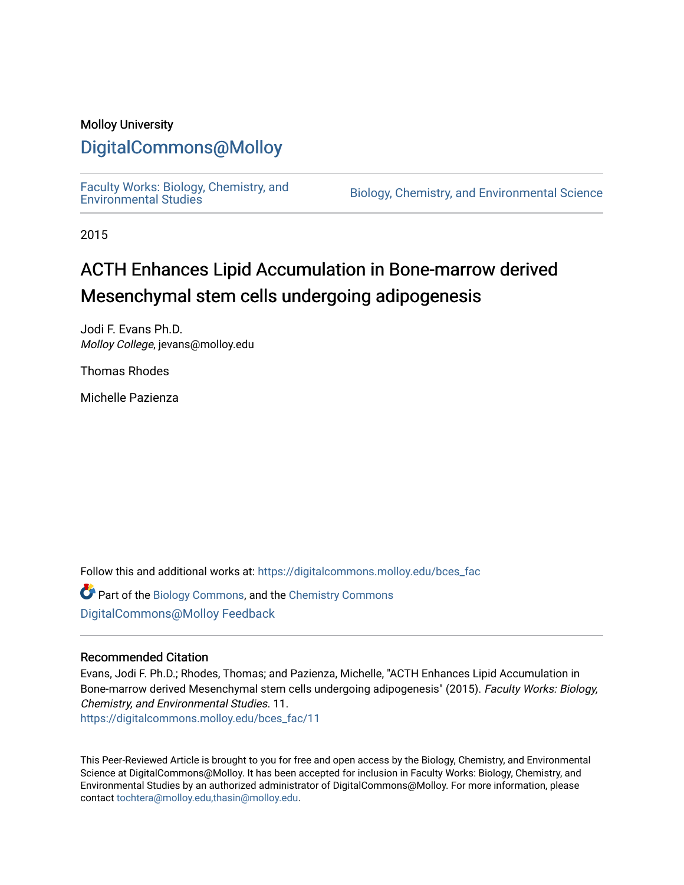### Molloy University

## [DigitalCommons@Molloy](https://digitalcommons.molloy.edu/)

[Faculty Works: Biology, Chemistry, and](https://digitalcommons.molloy.edu/bces_fac) 

Biology, Chemistry, and Environmental Science

2015

# ACTH Enhances Lipid Accumulation in Bone-marrow derived Mesenchymal stem cells undergoing adipogenesis

Jodi F. Evans Ph.D. Molloy College, jevans@molloy.edu

Thomas Rhodes

Michelle Pazienza

Follow this and additional works at: [https://digitalcommons.molloy.edu/bces\\_fac](https://digitalcommons.molloy.edu/bces_fac?utm_source=digitalcommons.molloy.edu%2Fbces_fac%2F11&utm_medium=PDF&utm_campaign=PDFCoverPages)

Part of the [Biology Commons,](https://network.bepress.com/hgg/discipline/41?utm_source=digitalcommons.molloy.edu%2Fbces_fac%2F11&utm_medium=PDF&utm_campaign=PDFCoverPages) and the [Chemistry Commons](https://network.bepress.com/hgg/discipline/131?utm_source=digitalcommons.molloy.edu%2Fbces_fac%2F11&utm_medium=PDF&utm_campaign=PDFCoverPages) [DigitalCommons@Molloy Feedback](https://molloy.libwizard.com/f/dcfeedback)

### Recommended Citation

Evans, Jodi F. Ph.D.; Rhodes, Thomas; and Pazienza, Michelle, "ACTH Enhances Lipid Accumulation in Bone-marrow derived Mesenchymal stem cells undergoing adipogenesis" (2015). Faculty Works: Biology, Chemistry, and Environmental Studies. 11. [https://digitalcommons.molloy.edu/bces\\_fac/11](https://digitalcommons.molloy.edu/bces_fac/11?utm_source=digitalcommons.molloy.edu%2Fbces_fac%2F11&utm_medium=PDF&utm_campaign=PDFCoverPages) 

This Peer-Reviewed Article is brought to you for free and open access by the Biology, Chemistry, and Environmental Science at DigitalCommons@Molloy. It has been accepted for inclusion in Faculty Works: Biology, Chemistry, and Environmental Studies by an authorized administrator of DigitalCommons@Molloy. For more information, please contact [tochtera@molloy.edu,thasin@molloy.edu.](mailto:tochtera@molloy.edu,thasin@molloy.edu)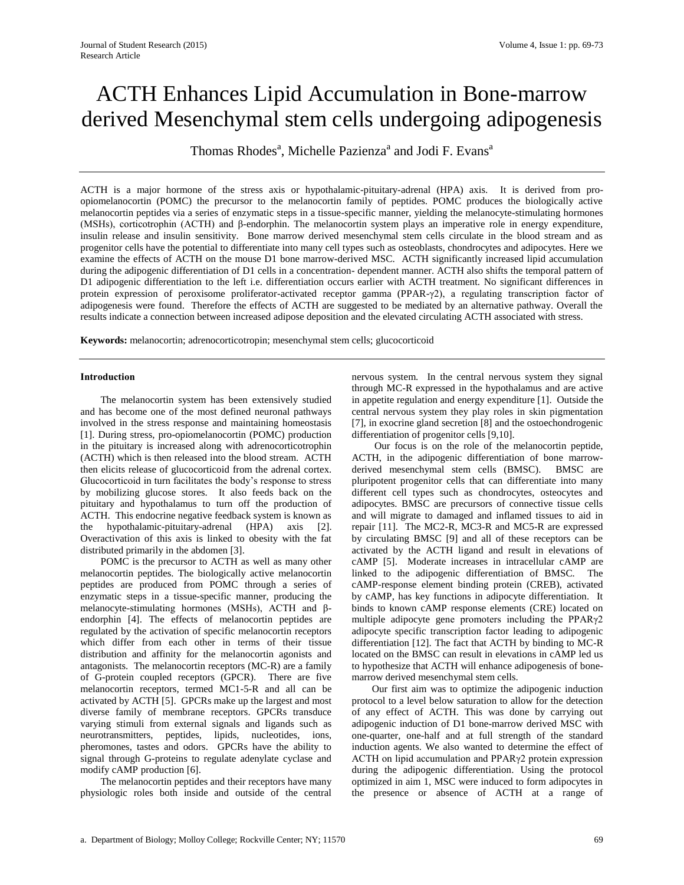# ACTH Enhances Lipid Accumulation in Bone-marrow derived Mesenchymal stem cells undergoing adipogenesis

Thomas Rhodes<sup>a</sup>, Michelle Pazienza<sup>a</sup> and Jodi F. Evans<sup>a</sup>

ACTH is a major hormone of the stress axis or hypothalamic-pituitary-adrenal (HPA) axis. It is derived from proopiomelanocortin (POMC) the precursor to the melanocortin family of peptides. POMC produces the biologically active melanocortin peptides via a series of enzymatic steps in a tissue-specific manner, yielding the melanocyte-stimulating hormones (MSHs), corticotrophin (ACTH) and β-endorphin. The melanocortin system plays an imperative role in energy expenditure, insulin release and insulin sensitivity. Bone marrow derived mesenchymal stem cells circulate in the blood stream and as progenitor cells have the potential to differentiate into many cell types such as osteoblasts, chondrocytes and adipocytes. Here we examine the effects of ACTH on the mouse D1 bone marrow-derived MSC. ACTH significantly increased lipid accumulation during the adipogenic differentiation of D1 cells in a concentration- dependent manner. ACTH also shifts the temporal pattern of D1 adipogenic differentiation to the left i.e. differentiation occurs earlier with ACTH treatment. No significant differences in protein expression of peroxisome proliferator-activated receptor gamma (PPAR-γ2), a regulating transcription factor of adipogenesis were found. Therefore the effects of ACTH are suggested to be mediated by an alternative pathway. Overall the results indicate a connection between increased adipose deposition and the elevated circulating ACTH associated with stress.

**Keywords:** melanocortin; adrenocorticotropin; mesenchymal stem cells; glucocorticoid

#### **Introduction**

The melanocortin system has been extensively studied and has become one of the most defined neuronal pathways involved in the stress response and maintaining homeostasis [1]. During stress, pro-opiomelanocortin (POMC) production in the pituitary is increased along with adrenocorticotrophin (ACTH) which is then released into the blood stream. ACTH then elicits release of glucocorticoid from the adrenal cortex. Glucocorticoid in turn facilitates the body's response to stress by mobilizing glucose stores. It also feeds back on the pituitary and hypothalamus to turn off the production of ACTH. This endocrine negative feedback system is known as the hypothalamic-pituitary-adrenal (HPA) axis [2]. Overactivation of this axis is linked to obesity with the fat distributed primarily in the abdomen [3].

POMC is the precursor to ACTH as well as many other melanocortin peptides. The biologically active melanocortin peptides are produced from POMC through a series of enzymatic steps in a tissue-specific manner, producing the melanocyte-stimulating hormones (MSHs), ACTH and βendorphin [4]. The effects of melanocortin peptides are regulated by the activation of specific melanocortin receptors which differ from each other in terms of their tissue distribution and affinity for the melanocortin agonists and antagonists. The melanocortin receptors (MC-R) are a family of G-protein coupled receptors (GPCR). There are five melanocortin receptors, termed MC1-5-R and all can be activated by ACTH [5]. GPCRs make up the largest and most diverse family of membrane receptors. GPCRs transduce varying stimuli from external signals and ligands such as neurotransmitters, peptides, lipids, nucleotides, ions, pheromones, tastes and odors. GPCRs have the ability to signal through G-proteins to regulate adenylate cyclase and modify cAMP production [6].

The melanocortin peptides and their receptors have many physiologic roles both inside and outside of the central

nervous system. In the central nervous system they signal through MC-R expressed in the hypothalamus and are active in appetite regulation and energy expenditure [1]. Outside the central nervous system they play roles in skin pigmentation [7], in exocrine gland secretion [8] and the ostoechondrogenic differentiation of progenitor cells [9,10].

Our focus is on the role of the melanocortin peptide, ACTH, in the adipogenic differentiation of bone marrowderived mesenchymal stem cells (BMSC). BMSC are pluripotent progenitor cells that can differentiate into many different cell types such as chondrocytes, osteocytes and adipocytes. BMSC are precursors of connective tissue cells and will migrate to damaged and inflamed tissues to aid in repair [11]. The MC2-R, MC3-R and MC5-R are expressed by circulating BMSC [9] and all of these receptors can be activated by the ACTH ligand and result in elevations of cAMP [5]. Moderate increases in intracellular cAMP are linked to the adipogenic differentiation of BMSC. The cAMP-response element binding protein (CREB), activated by cAMP, has key functions in adipocyte differentiation. It binds to known cAMP response elements (CRE) located on multiple adipocyte gene promoters including the PPARγ2 adipocyte specific transcription factor leading to adipogenic differentiation [12]. The fact that ACTH by binding to MC-R located on the BMSC can result in elevations in cAMP led us to hypothesize that ACTH will enhance adipogenesis of bonemarrow derived mesenchymal stem cells.

Our first aim was to optimize the adipogenic induction protocol to a level below saturation to allow for the detection of any effect of ACTH. This was done by carrying out adipogenic induction of D1 bone-marrow derived MSC with one-quarter, one-half and at full strength of the standard induction agents. We also wanted to determine the effect of ACTH on lipid accumulation and PPARγ2 protein expression during the adipogenic differentiation. Using the protocol optimized in aim 1, MSC were induced to form adipocytes in the presence or absence of ACTH at a range of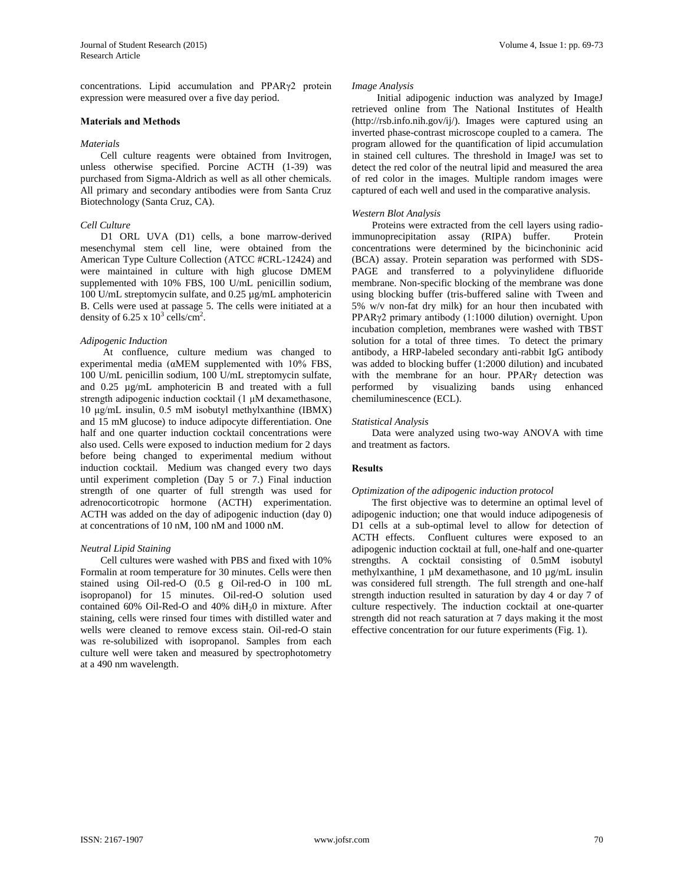concentrations. Lipid accumulation and PPARγ2 protein expression were measured over a five day period.

#### **Materials and Methods**

#### *Materials*

Cell culture reagents were obtained from Invitrogen, unless otherwise specified. Porcine ACTH (1-39) was purchased from Sigma-Aldrich as well as all other chemicals. All primary and secondary antibodies were from Santa Cruz Biotechnology (Santa Cruz, CA).

#### *Cell Culture*

D1 ORL UVA (D1) cells, a bone marrow-derived mesenchymal stem cell line, were obtained from the American Type Culture Collection (ATCC #CRL-12424) and were maintained in culture with high glucose DMEM supplemented with 10% FBS, 100 U/mL penicillin sodium, 100 U/mL streptomycin sulfate, and 0.25 µg/mL amphotericin B. Cells were used at passage 5. The cells were initiated at a density of 6.25 x  $10^3$  cells/cm<sup>2</sup>.

#### *Adipogenic Induction*

At confluence, culture medium was changed to experimental media (αMEM supplemented with 10% FBS, 100 U/mL penicillin sodium, 100 U/mL streptomycin sulfate, and 0.25 µg/mL amphotericin B and treated with a full strength adipogenic induction cocktail (1 μM dexamethasone, 10 μg/mL insulin, 0.5 mM isobutyl methylxanthine (IBMX) and 15 mM glucose) to induce adipocyte differentiation. One half and one quarter induction cocktail concentrations were also used. Cells were exposed to induction medium for 2 days before being changed to experimental medium without induction cocktail. Medium was changed every two days until experiment completion (Day 5 or 7.) Final induction strength of one quarter of full strength was used for adrenocorticotropic hormone (ACTH) experimentation. ACTH was added on the day of adipogenic induction (day 0) at concentrations of 10 nM, 100 nM and 1000 nM.

#### *Neutral Lipid Staining*

Cell cultures were washed with PBS and fixed with 10% Formalin at room temperature for 30 minutes. Cells were then stained using Oil-red-O (0.5 g Oil-red-O in 100 mL isopropanol) for 15 minutes. Oil-red-O solution used contained  $60\%$  Oil-Red-O and  $40\%$  diH<sub>2</sub>0 in mixture. After staining, cells were rinsed four times with distilled water and wells were cleaned to remove excess stain. Oil-red-O stain was re-solubilized with isopropanol. Samples from each culture well were taken and measured by spectrophotometry at a 490 nm wavelength.

#### *Image Analysis*

 Initial adipogenic induction was analyzed by ImageJ retrieved online from The National Institutes of Health (http://rsb.info.nih.gov/ij/). Images were captured using an inverted phase-contrast microscope coupled to a camera. The program allowed for the quantification of lipid accumulation in stained cell cultures. The threshold in ImageJ was set to detect the red color of the neutral lipid and measured the area of red color in the images. Multiple random images were captured of each well and used in the comparative analysis.

#### *Western Blot Analysis*

Proteins were extracted from the cell layers using radioimmunoprecipitation assay (RIPA) buffer. Protein concentrations were determined by the bicinchoninic acid (BCA) assay. Protein separation was performed with SDS-PAGE and transferred to a polyvinylidene difluoride membrane. Non-specific blocking of the membrane was done using blocking buffer (tris-buffered saline with Tween and 5% w/v non-fat dry milk) for an hour then incubated with PPARγ2 primary antibody (1:1000 dilution) overnight. Upon incubation completion, membranes were washed with TBST solution for a total of three times. To detect the primary antibody, a HRP-labeled secondary anti-rabbit IgG antibody was added to blocking buffer (1:2000 dilution) and incubated with the membrane for an hour. PPARγ detection was performed by visualizing bands using enhanced chemiluminescence (ECL).

#### *Statistical Analysis*

Data were analyzed using two-way ANOVA with time and treatment as factors.

#### **Results**

#### *Optimization of the adipogenic induction protocol*

The first objective was to determine an optimal level of adipogenic induction; one that would induce adipogenesis of D1 cells at a sub-optimal level to allow for detection of ACTH effects. Confluent cultures were exposed to an adipogenic induction cocktail at full, one-half and one-quarter strengths. A cocktail consisting of 0.5mM isobutyl methylxanthine, 1 µM dexamethasone, and 10 µg/mL insulin was considered full strength. The full strength and one-half strength induction resulted in saturation by day 4 or day 7 of culture respectively. The induction cocktail at one-quarter strength did not reach saturation at 7 days making it the most effective concentration for our future experiments (Fig. 1).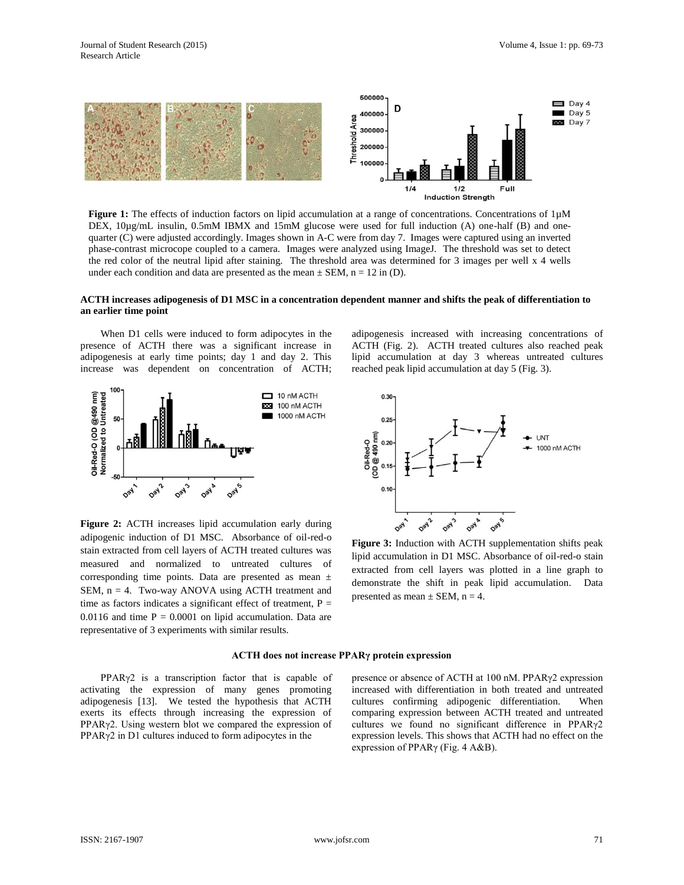

**Figure 1:** The effects of induction factors on lipid accumulation at a range of concentrations. Concentrations of 1µM DEX, 10µg/mL insulin, 0.5mM IBMX and 15mM glucose were used for full induction (A) one-half (B) and onequarter (C) were adjusted accordingly. Images shown in A-C were from day 7. Images were captured using an inverted phase-contrast microcope coupled to a camera. Images were analyzed using ImageJ. The threshold was set to detect the red color of the neutral lipid after staining. The threshold area was determined for 3 images per well x 4 wells under each condition and data are presented as the mean  $\pm$  SEM, n = 12 in (D).

#### **ACTH increases adipogenesis of D1 MSC in a concentration dependent manner and shifts the peak of differentiation to an earlier time point**

When D1 cells were induced to form adipocytes in the presence of ACTH there was a significant increase in adipogenesis at early time points; day 1 and day 2. This increase was dependent on concentration of ACTH;



**Figure 2:** ACTH increases lipid accumulation early during adipogenic induction of D1 MSC. Absorbance of oil-red-o stain extracted from cell layers of ACTH treated cultures was measured and normalized to untreated cultures of corresponding time points. Data are presented as mean ± SEM, n = 4. Two-way ANOVA using ACTH treatment and time as factors indicates a significant effect of treatment,  $P =$ 0.0116 and time  $P = 0.0001$  on lipid accumulation. Data are representative of 3 experiments with similar results.

adipogenesis increased with increasing concentrations of ACTH (Fig. 2). ACTH treated cultures also reached peak lipid accumulation at day 3 whereas untreated cultures reached peak lipid accumulation at day 5 (Fig. 3).



**Figure 3:** Induction with ACTH supplementation shifts peak lipid accumulation in D1 MSC. Absorbance of oil-red-o stain extracted from cell layers was plotted in a line graph to demonstrate the shift in peak lipid accumulation. Data presented as mean  $\pm$  SEM, n = 4.

#### **ACTH does not increase PPARγ protein expression**

PPARγ2 is a transcription factor that is capable of activating the expression of many genes promoting adipogenesis [13]. We tested the hypothesis that ACTH exerts its effects through increasing the expression of PPARγ2. Using western blot we compared the expression of PPARγ2 in D1 cultures induced to form adipocytes in the

presence or absence of ACTH at 100 nM. PPARγ2 expression increased with differentiation in both treated and untreated cultures confirming adipogenic differentiation. When comparing expression between ACTH treated and untreated cultures we found no significant difference in PPARγ2 expression levels. This shows that ACTH had no effect on the expression of PPARγ (Fig. 4 A&B).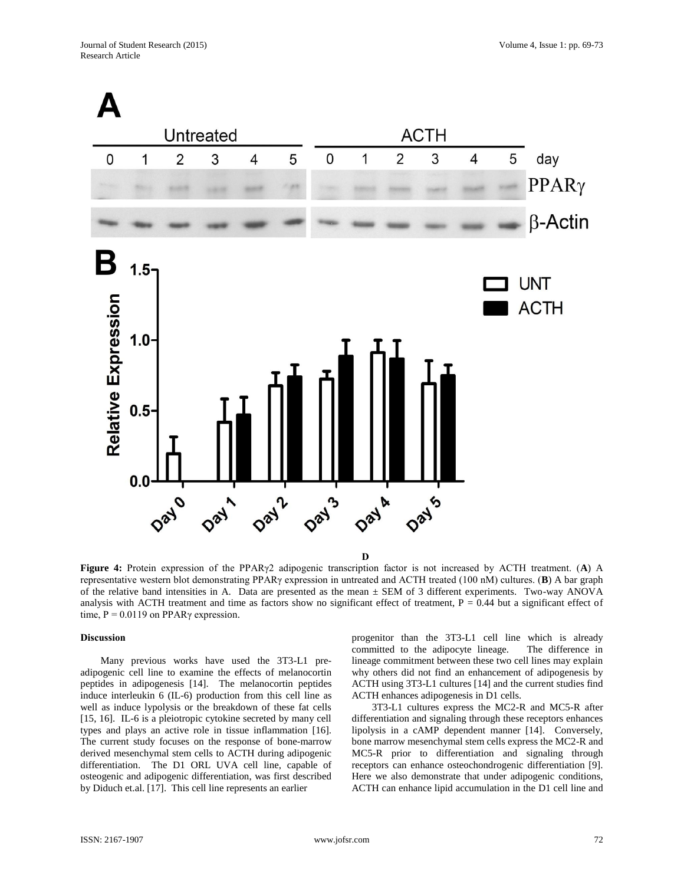

**Figure 4:** Protein expression of the PPARγ2 adipogenic transcription factor is not increased by ACTH treatment. (**A**) A representative western blot demonstrating PPARγ expression in untreated and ACTH treated (100 nM) cultures. (**B**) A bar graph of the relative band intensities in A. Data are presented as the mean  $\pm$  SEM of 3 different experiments. Two-way ANOVA analysis with ACTH treatment and time as factors show no significant effect of treatment,  $P = 0.44$  but a significant effect of time,  $P = 0.0119$  on PPAR $\gamma$  expression.

#### **Discussion**

Many previous works have used the 3T3-L1 preadipogenic cell line to examine the effects of melanocortin peptides in adipogenesis [14]. The melanocortin peptides induce interleukin 6 (IL-6) production from this cell line as well as induce lypolysis or the breakdown of these fat cells [15, 16]. IL-6 is a pleiotropic cytokine secreted by many cell types and plays an active role in tissue inflammation [16]. The current study focuses on the response of bone-marrow derived mesenchymal stem cells to ACTH during adipogenic differentiation. The D1 ORL UVA cell line, capable of osteogenic and adipogenic differentiation, was first described by Diduch et.al. [17]. This cell line represents an earlier

progenitor than the 3T3-L1 cell line which is already committed to the adipocyte lineage. The difference in lineage commitment between these two cell lines may explain why others did not find an enhancement of adipogenesis by ACTH using 3T3-L1 cultures [14] and the current studies find ACTH enhances adipogenesis in D1 cells.

3T3-L1 cultures express the MC2-R and MC5-R after differentiation and signaling through these receptors enhances lipolysis in a cAMP dependent manner [14]. Conversely, bone marrow mesenchymal stem cells express the MC2-R and MC5-R prior to differentiation and signaling through receptors can enhance osteochondrogenic differentiation [9]. Here we also demonstrate that under adipogenic conditions, ACTH can enhance lipid accumulation in the D1 cell line and